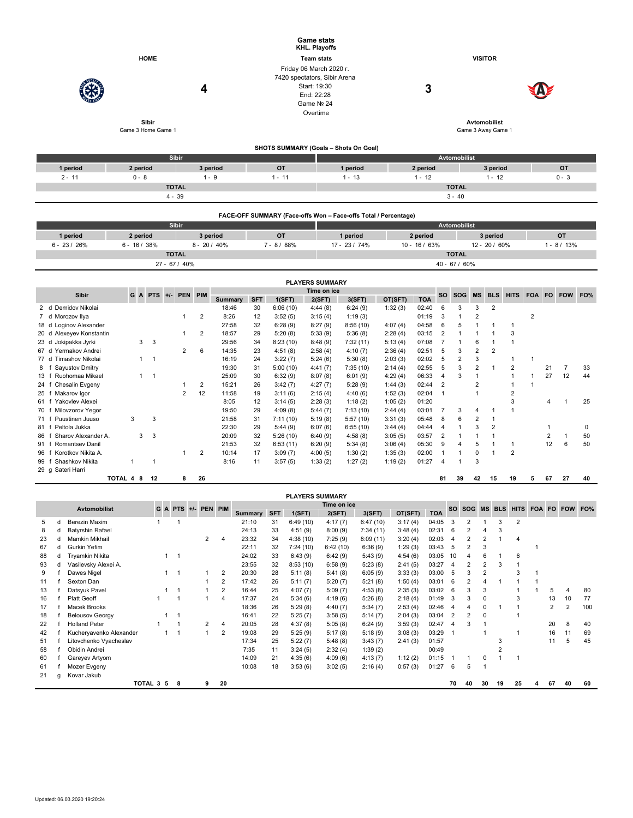|                             |                    | <b>HOME</b>                    |           |                |                 |                |            |               | <b>Game stats</b><br>KHL. Playoffs<br><b>Team stats</b>                                             |                                                                 |         |                 |                |                     |                         | <b>VISITOR</b>                            |                         |              |    |                |     |
|-----------------------------|--------------------|--------------------------------|-----------|----------------|-----------------|----------------|------------|---------------|-----------------------------------------------------------------------------------------------------|-----------------------------------------------------------------|---------|-----------------|----------------|---------------------|-------------------------|-------------------------------------------|-------------------------|--------------|----|----------------|-----|
|                             |                    |                                |           |                | 4               |                |            |               | Friday 06 March 2020 r.<br>7420 spectators, Sibir Arena<br>Start: 19:30<br>End: 22:28<br>Game Nº 24 |                                                                 |         | 3               |                |                     |                         |                                           |                         |              |    |                |     |
|                             | Game 3 Home Game 1 | Sibir                          |           |                |                 |                |            |               | Overtime                                                                                            |                                                                 |         |                 |                |                     |                         | <b>Avtomobilist</b><br>Game 3 Away Game 1 |                         |              |    |                |     |
|                             |                    |                                |           |                |                 |                |            |               |                                                                                                     | SHOTS SUMMARY (Goals - Shots On Goal)                           |         |                 |                |                     |                         |                                           |                         |              |    |                |     |
|                             |                    |                                |           | Sibir          |                 |                |            |               |                                                                                                     |                                                                 |         |                 |                | <b>Avtomobilist</b> |                         |                                           |                         |              |    |                |     |
| 1 period                    |                    | 2 period                       |           |                |                 | 3 period       |            | OT            |                                                                                                     | 1 period                                                        |         | 2 period        |                |                     |                         | 3 period                                  |                         |              |    | OT             |     |
| $2 - 11$                    | $0 - 8$            |                                |           |                | $1 - 9$         |                |            | $1 - 11$      |                                                                                                     | $1 - 13$                                                        |         | $1 - 12$        |                |                     |                         | $1 - 12$                                  |                         |              |    | $0 - 3$        |     |
|                             |                    |                                |           | <b>TOTAL</b>   |                 |                |            |               |                                                                                                     |                                                                 |         |                 |                | <b>TOTAL</b>        |                         |                                           |                         |              |    |                |     |
|                             |                    |                                |           | $4 - 39$       |                 |                |            |               |                                                                                                     |                                                                 |         |                 |                | $3 - 40$            |                         |                                           |                         |              |    |                |     |
|                             |                    |                                |           |                |                 |                |            |               |                                                                                                     | FACE-OFF SUMMARY (Face-offs Won - Face-offs Total / Percentage) |         |                 |                |                     |                         |                                           |                         |              |    |                |     |
|                             |                    |                                |           | Sibir          |                 |                |            |               |                                                                                                     |                                                                 |         |                 |                | Avtomobilist        |                         |                                           |                         |              |    |                |     |
| 1 period                    |                    | 2 period                       |           |                |                 | 3 period       |            | OT            |                                                                                                     | 1 period                                                        |         | 2 period        |                |                     |                         | 3 period                                  |                         |              |    | <b>OT</b>      |     |
| $6 - 23 / 26%$              | $6 - 16 / 38%$     |                                |           |                | $8 - 20 / 40\%$ |                |            | $7 - 8 / 88%$ |                                                                                                     | 17 - 23 / 74%                                                   |         | $10 - 16 / 63%$ |                |                     |                         | 12 - 20 / 60%                             |                         |              |    | $1 - 8 / 13%$  |     |
|                             |                    |                                |           | <b>TOTAL</b>   |                 |                |            |               |                                                                                                     |                                                                 |         |                 |                | <b>TOTAL</b>        |                         |                                           |                         |              |    |                |     |
|                             |                    |                                |           | 27 - 67 / 40%  |                 |                |            |               |                                                                                                     |                                                                 |         |                 |                | 40 - 67 / 60%       |                         |                                           |                         |              |    |                |     |
|                             |                    |                                |           |                |                 |                |            |               | <b>PLAYERS SUMMARY</b>                                                                              |                                                                 |         |                 |                |                     |                         |                                           |                         |              |    |                |     |
|                             |                    |                                |           |                |                 |                |            |               | Time on ice                                                                                         |                                                                 |         |                 |                |                     |                         |                                           |                         |              |    |                |     |
| <b>Sibir</b>                | GA                 |                                | $PTS +/-$ | <b>PEN</b>     | PIM             | <b>Summary</b> | <b>SFT</b> | 1(SFT)        | 2(SFT)                                                                                              | 3(SFT)                                                          | OT(SFT) | <b>TOA</b>      | <b>SO</b>      | SOG                 | <b>MS</b>               | <b>BLS</b>                                | <b>HITS</b>             | <b>FOA</b>   |    | FO FOW         | FO% |
| 2 d Demidov Nikolai         |                    |                                |           |                |                 | 18:46          | 30         | 6:06(10)      | 4:44(8)                                                                                             | 6:24(9)                                                         | 1:32(3) | 02:40           | 6              | 3                   | 3                       | 2                                         |                         |              |    |                |     |
| 7 d Morozov Ilya            |                    |                                |           | $\mathbf{1}$   | $\overline{2}$  | 8:26           | 12         | 3:52(5)       | 3:15(4)                                                                                             | 1:19(3)                                                         |         | 01:19           | 3              | 1                   | $\overline{2}$          |                                           |                         | 2            |    |                |     |
| Loginov Alexander<br>18 d   |                    |                                |           |                |                 | 27:58          | 32         | 6:28(9)       | 8:27(9)                                                                                             | 8:56(10)                                                        | 4:07(4) | 04:58           | 6              | 5                   | $\overline{1}$          | $\mathbf{1}$                              | $\mathbf{1}$            |              |    |                |     |
| 20 d Alexeyev Konstantin    |                    |                                |           | 1              | $\overline{2}$  | 18:57          | 29         | 5:20(8)       | 5:33(9)                                                                                             | 5:36(8)                                                         | 2:28(4) | 03:15           | $\overline{2}$ | $\mathbf{1}$        | $\overline{1}$          | $\mathbf{1}$                              | 3                       |              |    |                |     |
| 23 d<br>Jokipakka Jyrki     |                    | 3<br>3                         |           |                |                 | 29:56          | 34         | 8:23(10)      | 8:48(9)                                                                                             | 7:32(11)                                                        | 5:13(4) | 07:08           | $\overline{7}$ | $\mathbf{1}$        | 6                       | $\mathbf{1}$                              | $\mathbf{1}$            |              |    |                |     |
| Yermakov Andrei<br>67 d     |                    |                                |           | 2              | 6               | 14:35          | 23         | 4:51(8)       | 2:58(4)                                                                                             | 4:10(7)                                                         | 2:36(4) | 02:51           | 5              | 3                   | $\overline{2}$          | $\overline{2}$                            |                         |              |    |                |     |
| Timashov Nikolai<br>77 d    |                    | $\mathbf{1}$<br>$\overline{1}$ |           |                |                 | 16:19          | 24         | 3:22(7)       | 5:24(6)                                                                                             | 5:30(8)                                                         | 2:03(3) | 02:02           | 5              | $\overline{2}$      | 3                       |                                           | $\mathbf{1}$            | $\mathbf{1}$ |    |                |     |
| Sayustov Dmitry<br>8<br>f   |                    |                                |           |                |                 | 19:30          | 31         | 5:00(10)      | 4:41(7)                                                                                             | 7:35(10)                                                        | 2:14(4) | 02:55           | 5              | 3                   | $\overline{\mathbf{c}}$ | $\mathbf{1}$                              | $\overline{\mathbf{c}}$ |              | 21 | $\overline{7}$ | 33  |
| Ruohomaa Mikael<br>13 f     |                    | $\mathbf{1}$<br>$\overline{1}$ |           |                |                 | 25:09          | 30         | 6:32(9)       | 8:07(8)                                                                                             | 6:01(9)                                                         | 4:29(4) | 06:33           | $\overline{4}$ | 3                   | $\overline{1}$          |                                           | $\mathbf{1}$            | 1            | 27 | 12             | 44  |
| Chesalin Evgeny<br>24 f     |                    |                                |           | $\mathbf{1}$   | $\overline{2}$  | 15:21          | 26         | 3:42(7)       | 4:27(7)                                                                                             | 5:28(9)                                                         | 1:44(3) | 02:44           | $\overline{2}$ |                     | $\overline{2}$          |                                           | $\mathbf{1}$            | $\mathbf{1}$ |    |                |     |
| Makarov Igor<br>25 f        |                    |                                |           | $\overline{2}$ | 12              | 11:58          | 19         | 3:11(6)       | 2:15(4)                                                                                             | 4:40(6)                                                         | 1:52(3) | 02:04           | $\mathbf{1}$   |                     | $\overline{1}$          |                                           | $\overline{2}$          |              |    |                |     |
| 61 f Yakovlev Alexei        |                    |                                |           |                |                 | 8:05           | 12         | 3:14(5)       | 2:28(3)                                                                                             | 1:18(2)                                                         | 1:05(2) | 01:20           |                |                     |                         |                                           | 3                       |              | 4  | 1              | 25  |
| Milovzorov Yegor<br>70 f    |                    |                                |           |                |                 | 19:50          | 29         | 4:09(8)       | 5:44(7)                                                                                             | 7:13(10)                                                        | 2:44(4) | 03:01           | $\overline{7}$ | 3                   | 4                       | $\mathbf 1$                               | 1                       |              |    |                |     |
| 71 f<br>Puustinen Juuso     | 3                  | 3                              |           |                |                 | 21:58          | 31         | 7:11(10)      | 5:19(8)                                                                                             | 5:57(10)                                                        | 3:31(3) | 05:48           | 8              | 6                   | $\overline{2}$          | $\mathbf{1}$                              |                         |              |    |                |     |
| Peltola Jukka<br>81 f       |                    |                                |           |                |                 | 22:30          | 29         | 5:44(9)       | 6:07(6)                                                                                             | 6:55(10)                                                        | 3:44(4) | 04:44           | $\overline{4}$ | 1                   | 3                       | $\overline{2}$                            |                         |              | 1  |                | 0   |
| Sharov Alexander A.<br>86 f |                    | 3<br>3                         |           |                |                 | 20:09          | 32         | 5:26(10)      | 6:40(9)                                                                                             | 4:58(8)                                                         | 3:05(5) | 03:57           | $\overline{2}$ | 1                   | $\overline{1}$          | $\mathbf{1}$                              |                         |              | 2  | $\mathbf{1}$   | 50  |
| Romantsev Danil<br>91 f     |                    |                                |           |                |                 | 21:53          | 32         | 6:53(11)      | 6:20(9)                                                                                             | 5:34(8)                                                         | 3:06(4) | 05:30           | 9              | $\overline{4}$      | 5                       | $\mathbf{1}$                              | $\mathbf{1}$            |              | 12 | 6              | 50  |
| 96 f Korotkov Nikita A.     |                    |                                |           | -1             | $\overline{2}$  | 10:14          | 17         | 3:09(7)       | 4:00(5)                                                                                             | 1:30(2)                                                         | 1:35(3) | 02:00           | $\overline{1}$ |                     | 0                       | $\overline{1}$                            | $\overline{2}$          |              |    |                |     |

| 99 f Shashkov Nikita 1 1 1 |  |  |  | 8:16 11 3:57 (5) 1:33 (2) 1:27 (2) 1:19 (2) 01:27 4 1 3 |  |  |  |
|----------------------------|--|--|--|---------------------------------------------------------|--|--|--|
| 29 g Sateri Harri          |  |  |  |                                                         |  |  |  |

**TOTAL 4 8 12 8 26 81 39 42 15 19 5 67 27 40**

|                                                           |   |                         |           |                |   |                |                |            | <b>PLAYERS SUMMARY</b> |          |          |         |            |                |                |                          |    |                            |   |    |    |     |
|-----------------------------------------------------------|---|-------------------------|-----------|----------------|---|----------------|----------------|------------|------------------------|----------|----------|---------|------------|----------------|----------------|--------------------------|----|----------------------------|---|----|----|-----|
| Time on ice<br>G A PTS +/- PEN PIM<br><b>Avtomobilist</b> |   |                         |           |                |   |                |                |            |                        |          |          |         |            | <b>SO</b>      | <b>SOG</b>     |                          |    | MS BLS HITS FOA FO FOW FO% |   |    |    |     |
|                                                           |   |                         |           |                |   |                | <b>Summary</b> | <b>SFT</b> | 1(SFT)                 | 2(SFT)   | 3(SFT)   | OT(SFT) | <b>TOA</b> |                |                |                          |    |                            |   |    |    |     |
| b.                                                        | d | Berezin Maxim           |           |                |   |                | 21:10          | 31         | 6:49(10)               | 4:17(7)  | 6:47(10) | 3:17(4) | 04:05      | 3              |                |                          | 3  | 2                          |   |    |    |     |
| 8                                                         | d | <b>Batyrshin Rafael</b> |           |                |   |                | 24:13          | 33         | 4:51(9)                | 8:00(9)  | 7:34(11) | 3:48(4) | 02:31      | 6              |                |                          | 3  |                            |   |    |    |     |
| 23                                                        | d | Mamkin Mikhail          |           |                | 2 |                | 23:32          | 34         | 4:38(10)               | 7:25(9)  | 8:09(11) | 3:20(4) | 02:03      | 4              |                |                          |    | 4                          |   |    |    |     |
| 67                                                        | d | Gurkin Yefim            |           |                |   |                | 22:11          | 32         | 7:24(10)               | 6:42(10) | 6:36(9)  | 1:29(3) | 03:43      | 5              | $\overline{2}$ | 3                        |    |                            |   |    |    |     |
| 88                                                        | d | Tryamkin Nikita         |           | $\overline{1}$ |   |                | 24:02          | 33         | 6:43(9)                | 6:42(9)  | 5:43(9)  | 4:54(6) | 03:05      | 10             |                | 6                        |    | 6                          |   |    |    |     |
| 93                                                        | d | Vasilevsky Alexei A.    |           |                |   |                | 23:55          | 32         | 8:53(10)               | 6:58(9)  | 5:23(8)  | 2:41(5) | 03:27      | 4              |                | 2                        |    |                            |   |    |    |     |
| 9                                                         |   | Dawes Nigel             |           |                |   | 2              | 20:30          | 28         | 5:11(8)                | 5:41(8)  | 6:05(9)  | 3:33(3) | 03:00      | 5              | 3              | $\overline{2}$           |    | 3                          |   |    |    |     |
| 11                                                        |   | Sexton Dan              |           |                |   | 2              | 17:42          | 26         | 5:11(7)                | 5:20(7)  | 5:21(8)  | 1:50(4) | 03:01      | 6              |                |                          |    |                            |   |    |    |     |
| 13                                                        |   | Datsyuk Pavel           |           |                |   | 2              | 16:44          | 25         | 4:07(7)                | 5:09(7)  | 4:53(8)  | 2:35(3) | 03:02      | 6              | 3              | 3                        |    |                            |   | 5  | 4  | 80  |
| 16                                                        |   | <b>Platt Geoff</b>      |           |                |   | 4              | 17:37          | 24         | 5:34(6)                | 4:19(6)  | 5:26(8)  | 2:18(4) | 01:49      | 3              | 3              | 0                        |    | 3                          |   | 13 | 10 | 77  |
| 17                                                        |   | Macek Brooks            |           |                |   |                | 18:36          | 26         | 5:29(8)                | 4:40(7)  | 5:34(7)  | 2:53(4) | 02:46      | 4              |                | 0                        |    |                            |   | 2  | 2  | 100 |
| 18                                                        |   | <b>Belousov Georgy</b>  |           |                |   |                | 16:41          | 22         | 5:25(7)                | 3:58(5)  | 5:14(7)  | 2:04(3) | 03:04      | $\overline{2}$ | $\overline{2}$ | $\Omega$                 |    |                            |   |    |    |     |
| 22                                                        |   | <b>Holland Peter</b>    |           |                | 2 | $\overline{4}$ | 20:05          | 28         | 4:37(8)                | 5:05(8)  | 6:24(9)  | 3:59(3) | 02:47      | 4              | 3              |                          |    |                            |   | 20 | 8  | 40  |
| 42                                                        |   | Kucheryavenko Alexander |           |                |   | 2              | 19:08          | 29         | 5:25(9)                | 5:17(8)  | 5:18(9)  | 3:08(3) | 03:29      | $\mathbf{1}$   |                |                          |    |                            |   | 16 | 11 | 69  |
| 51                                                        |   | Litovchenko Vyacheslav  |           |                |   |                | 17:34          | 25         | 5:22(7)                | 5:48(8)  | 3:43(7)  | 2:41(3) | 01:57      |                |                |                          | 3  |                            |   | 11 | 5  | 45  |
| 58                                                        |   | Obidin Andrei           |           |                |   |                | 7:35           | 11         | 3:24(5)                | 2:32(4)  | 1:39(2)  |         | 00:49      |                |                |                          |    |                            |   |    |    |     |
| 60                                                        |   | Gareyev Artyom          |           |                |   |                | 14:09          | 21         | 4:35(6)                | 4:09(6)  | 4:13(7)  | 1:12(2) | 01:15      |                |                | 0                        |    |                            |   |    |    |     |
| 61                                                        |   | Mozer Evgeny            |           |                |   |                | 10:08          | 18         | 3:53(6)                | 3:02(5)  | 2:16(4)  | 0:57(3) | 01:27      | 6              | 5              | $\overline{\phantom{a}}$ |    |                            |   |    |    |     |
| 21                                                        | g | Kovar Jakub             |           |                |   |                |                |            |                        |          |          |         |            |                |                |                          |    |                            |   |    |    |     |
|                                                           |   |                         | TOTAL 3 5 | 8              | 9 | 20             |                |            |                        |          |          |         |            | 70             | 40             | 30                       | 19 | 25                         | а | 67 | 40 | 60  |